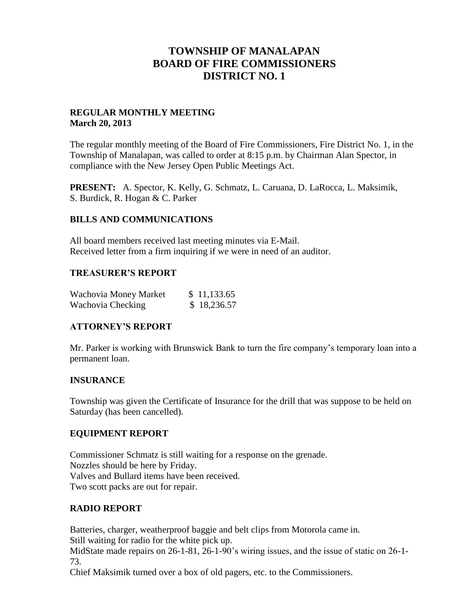# **TOWNSHIP OF MANALAPAN BOARD OF FIRE COMMISSIONERS DISTRICT NO. 1**

#### **REGULAR MONTHLY MEETING March 20, 2013**

The regular monthly meeting of the Board of Fire Commissioners, Fire District No. 1, in the Township of Manalapan, was called to order at 8:15 p.m. by Chairman Alan Spector, in compliance with the New Jersey Open Public Meetings Act.

**PRESENT:** A. Spector, K. Kelly, G. Schmatz, L. Caruana, D. LaRocca, L. Maksimik, S. Burdick, R. Hogan & C. Parker

#### **BILLS AND COMMUNICATIONS**

All board members received last meeting minutes via E-Mail. Received letter from a firm inquiring if we were in need of an auditor.

#### **TREASURER'S REPORT**

| Wachovia Money Market | \$11,133.65 |
|-----------------------|-------------|
| Wachovia Checking     | \$18,236.57 |

## **ATTORNEY'S REPORT**

Mr. Parker is working with Brunswick Bank to turn the fire company's temporary loan into a permanent loan.

## **INSURANCE**

Township was given the Certificate of Insurance for the drill that was suppose to be held on Saturday (has been cancelled).

## **EQUIPMENT REPORT**

Commissioner Schmatz is still waiting for a response on the grenade. Nozzles should be here by Friday. Valves and Bullard items have been received. Two scott packs are out for repair.

## **RADIO REPORT**

Batteries, charger, weatherproof baggie and belt clips from Motorola came in. Still waiting for radio for the white pick up.

MidState made repairs on 26-1-81, 26-1-90's wiring issues, and the issue of static on 26-1- 73.

Chief Maksimik turned over a box of old pagers, etc. to the Commissioners.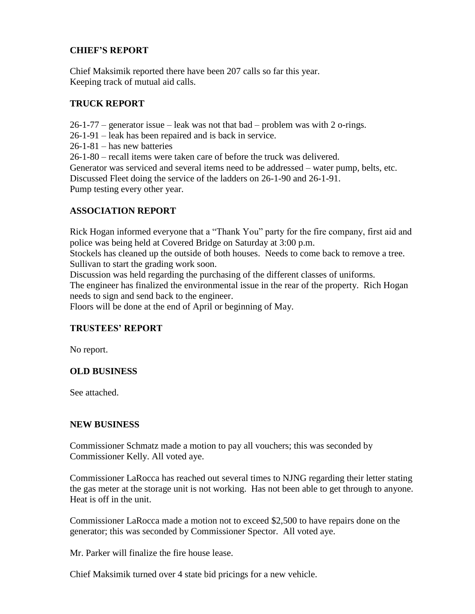## **CHIEF'S REPORT**

Chief Maksimik reported there have been 207 calls so far this year. Keeping track of mutual aid calls.

## **TRUCK REPORT**

 $26-1-77$  – generator issue – leak was not that bad – problem was with 2 o-rings.

26-1-91 – leak has been repaired and is back in service.

26-1-81 – has new batteries

26-1-80 – recall items were taken care of before the truck was delivered.

Generator was serviced and several items need to be addressed – water pump, belts, etc. Discussed Fleet doing the service of the ladders on 26-1-90 and 26-1-91. Pump testing every other year.

## **ASSOCIATION REPORT**

Rick Hogan informed everyone that a "Thank You" party for the fire company, first aid and police was being held at Covered Bridge on Saturday at 3:00 p.m.

Stockels has cleaned up the outside of both houses. Needs to come back to remove a tree. Sullivan to start the grading work soon.

Discussion was held regarding the purchasing of the different classes of uniforms. The engineer has finalized the environmental issue in the rear of the property. Rich Hogan

needs to sign and send back to the engineer.

Floors will be done at the end of April or beginning of May.

## **TRUSTEES' REPORT**

No report.

## **OLD BUSINESS**

See attached.

#### **NEW BUSINESS**

Commissioner Schmatz made a motion to pay all vouchers; this was seconded by Commissioner Kelly. All voted aye.

Commissioner LaRocca has reached out several times to NJNG regarding their letter stating the gas meter at the storage unit is not working. Has not been able to get through to anyone. Heat is off in the unit.

Commissioner LaRocca made a motion not to exceed \$2,500 to have repairs done on the generator; this was seconded by Commissioner Spector. All voted aye.

Mr. Parker will finalize the fire house lease.

Chief Maksimik turned over 4 state bid pricings for a new vehicle.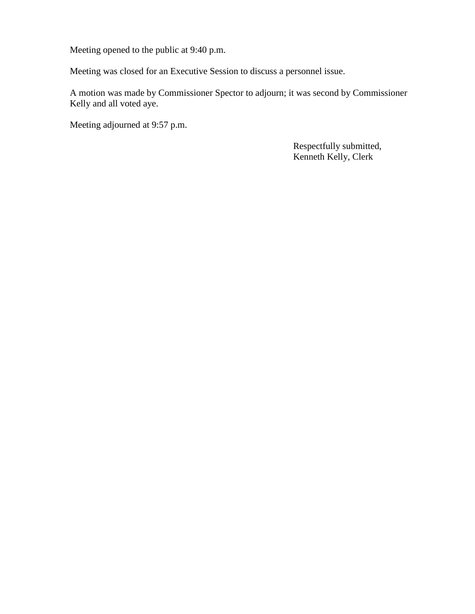Meeting opened to the public at 9:40 p.m.

Meeting was closed for an Executive Session to discuss a personnel issue.

A motion was made by Commissioner Spector to adjourn; it was second by Commissioner Kelly and all voted aye.

Meeting adjourned at 9:57 p.m.

 Respectfully submitted, Kenneth Kelly, Clerk